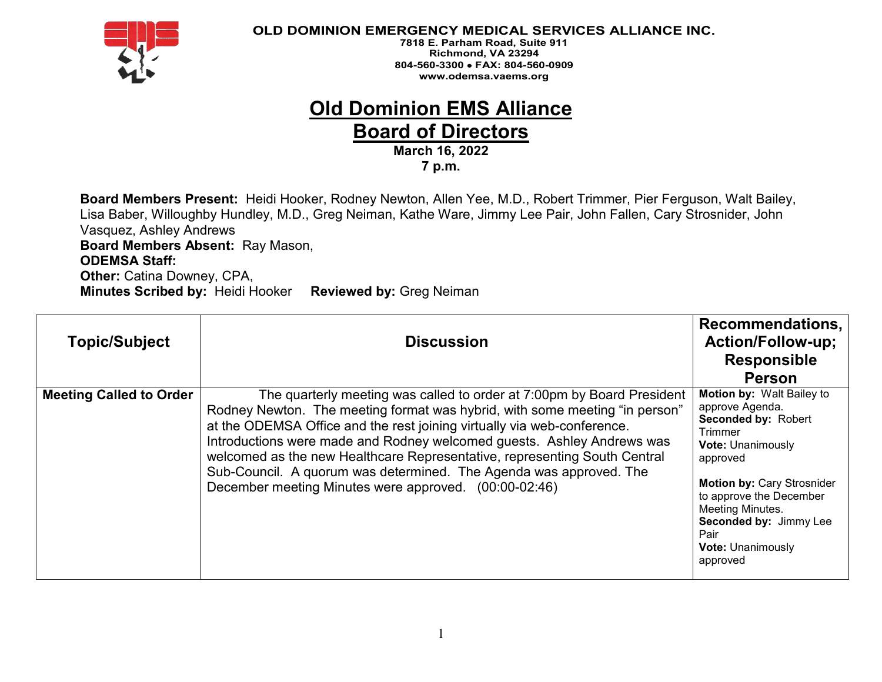

**7818 E. Parham Road, Suite 911 Richmond, VA 23294 804-560-3300** • **FAX: 804-560-0909 www.odemsa.vaems.org**

# **Old Dominion EMS Alliance**

**Board of Directors** 

**March 16, 2022 7 p.m.**

**Board Members Present:** Heidi Hooker, Rodney Newton, Allen Yee, M.D., Robert Trimmer, Pier Ferguson, Walt Bailey, Lisa Baber, Willoughby Hundley, M.D., Greg Neiman, Kathe Ware, Jimmy Lee Pair, John Fallen, Cary Strosnider, John Vasquez, Ashley Andrews **Board Members Absent:** Ray Mason, **ODEMSA Staff: Other:** Catina Downey, CPA, **Minutes Scribed by:** Heidi Hooker **Reviewed by:** Greg Neiman

| <b>Topic/Subject</b>           | <b>Discussion</b>                                                                                                                                                                                                                                                                                                                                                                                                                                                                                                      | Recommendations,<br><b>Action/Follow-up;</b><br><b>Responsible</b><br><b>Person</b>                                                                                                                                                                                                         |
|--------------------------------|------------------------------------------------------------------------------------------------------------------------------------------------------------------------------------------------------------------------------------------------------------------------------------------------------------------------------------------------------------------------------------------------------------------------------------------------------------------------------------------------------------------------|---------------------------------------------------------------------------------------------------------------------------------------------------------------------------------------------------------------------------------------------------------------------------------------------|
| <b>Meeting Called to Order</b> | The quarterly meeting was called to order at 7:00pm by Board President<br>Rodney Newton. The meeting format was hybrid, with some meeting "in person"<br>at the ODEMSA Office and the rest joining virtually via web-conference.<br>Introductions were made and Rodney welcomed guests. Ashley Andrews was<br>welcomed as the new Healthcare Representative, representing South Central<br>Sub-Council. A quorum was determined. The Agenda was approved. The<br>December meeting Minutes were approved. (00:00-02:46) | <b>Motion by: Walt Bailey to</b><br>approve Agenda.<br>Seconded by: Robert<br>Trimmer<br><b>Vote: Unanimously</b><br>approved<br><b>Motion by: Cary Strosnider</b><br>to approve the December<br>Meeting Minutes.<br>Seconded by: Jimmy Lee<br>Pair<br><b>Vote: Unanimously</b><br>approved |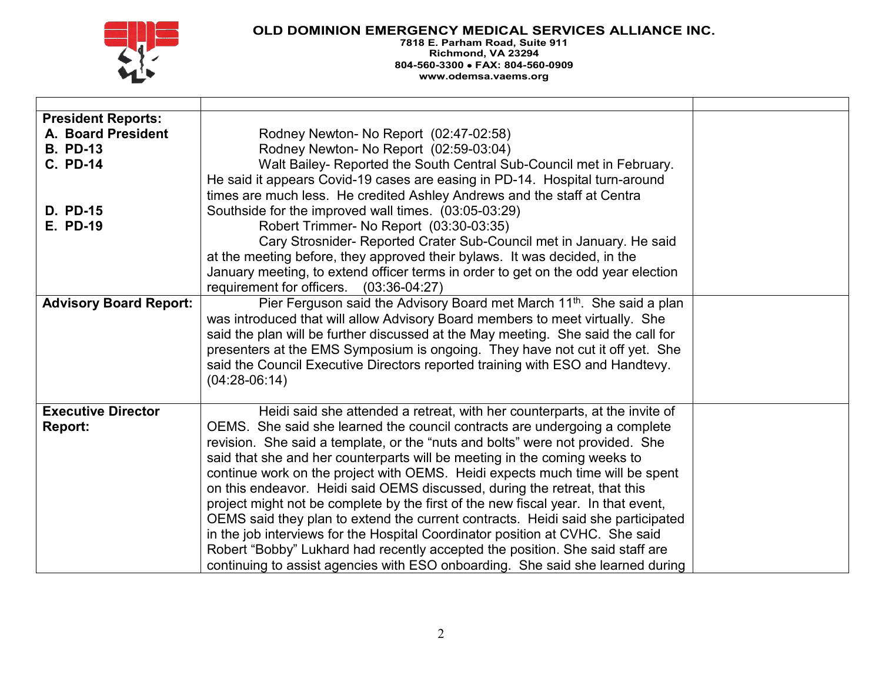

| <b>President Reports:</b><br>A. Board President<br><b>B. PD-13</b><br><b>C. PD-14</b><br><b>D. PD-15</b><br><b>E. PD-19</b> | Rodney Newton- No Report (02:47-02:58)<br>Rodney Newton- No Report (02:59-03:04)<br>Walt Bailey- Reported the South Central Sub-Council met in February.<br>He said it appears Covid-19 cases are easing in PD-14. Hospital turn-around<br>times are much less. He credited Ashley Andrews and the staff at Centra<br>Southside for the improved wall times. (03:05-03:29)<br>Robert Trimmer- No Report (03:30-03:35)<br>Cary Strosnider- Reported Crater Sub-Council met in January. He said<br>at the meeting before, they approved their bylaws. It was decided, in the<br>January meeting, to extend officer terms in order to get on the odd year election<br>requirement for officers.<br>$(03:36-04:27)$                                                                                                                                                                                                    |  |
|-----------------------------------------------------------------------------------------------------------------------------|--------------------------------------------------------------------------------------------------------------------------------------------------------------------------------------------------------------------------------------------------------------------------------------------------------------------------------------------------------------------------------------------------------------------------------------------------------------------------------------------------------------------------------------------------------------------------------------------------------------------------------------------------------------------------------------------------------------------------------------------------------------------------------------------------------------------------------------------------------------------------------------------------------------------|--|
| <b>Advisory Board Report:</b>                                                                                               | Pier Ferguson said the Advisory Board met March 11 <sup>th</sup> . She said a plan<br>was introduced that will allow Advisory Board members to meet virtually. She<br>said the plan will be further discussed at the May meeting. She said the call for<br>presenters at the EMS Symposium is ongoing. They have not cut it off yet. She<br>said the Council Executive Directors reported training with ESO and Handtevy.<br>$(04:28-06:14)$                                                                                                                                                                                                                                                                                                                                                                                                                                                                       |  |
| <b>Executive Director</b><br>Report:                                                                                        | Heidi said she attended a retreat, with her counterparts, at the invite of<br>OEMS. She said she learned the council contracts are undergoing a complete<br>revision. She said a template, or the "nuts and bolts" were not provided. She<br>said that she and her counterparts will be meeting in the coming weeks to<br>continue work on the project with OEMS. Heidi expects much time will be spent<br>on this endeavor. Heidi said OEMS discussed, during the retreat, that this<br>project might not be complete by the first of the new fiscal year. In that event,<br>OEMS said they plan to extend the current contracts. Heidi said she participated<br>in the job interviews for the Hospital Coordinator position at CVHC. She said<br>Robert "Bobby" Lukhard had recently accepted the position. She said staff are<br>continuing to assist agencies with ESO onboarding. She said she learned during |  |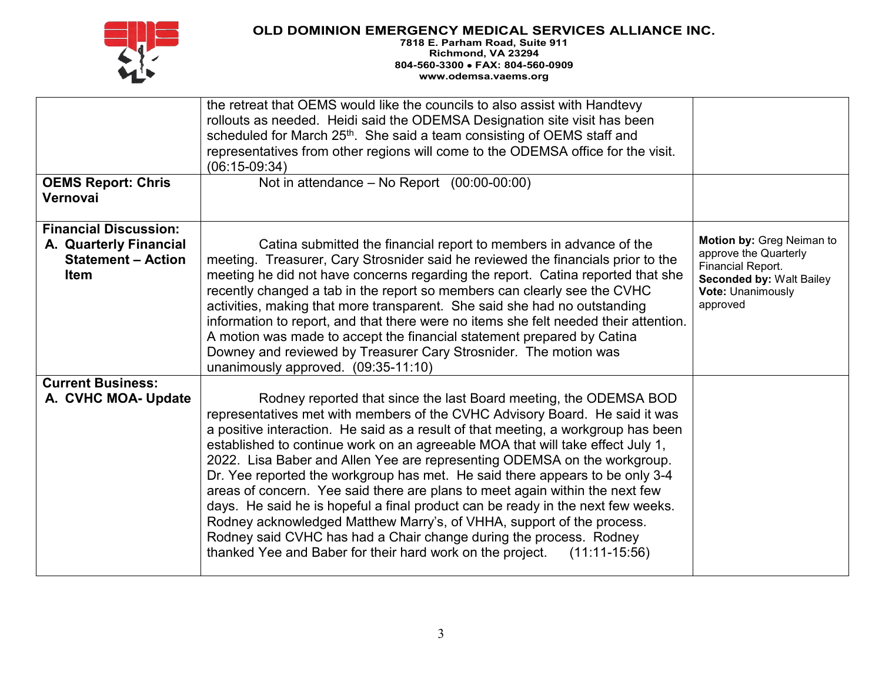

|                                                                                             | the retreat that OEMS would like the councils to also assist with Handtevy<br>rollouts as needed. Heidi said the ODEMSA Designation site visit has been<br>scheduled for March 25 <sup>th</sup> . She said a team consisting of OEMS staff and<br>representatives from other regions will come to the ODEMSA office for the visit.<br>$(06:15-09:34)$                                                                                                                                                                                                                                                                                                                                                                                                                                                                                                                              |                                                                                                                                                    |
|---------------------------------------------------------------------------------------------|------------------------------------------------------------------------------------------------------------------------------------------------------------------------------------------------------------------------------------------------------------------------------------------------------------------------------------------------------------------------------------------------------------------------------------------------------------------------------------------------------------------------------------------------------------------------------------------------------------------------------------------------------------------------------------------------------------------------------------------------------------------------------------------------------------------------------------------------------------------------------------|----------------------------------------------------------------------------------------------------------------------------------------------------|
| <b>OEMS Report: Chris</b><br>Vernovai                                                       | Not in attendance $-$ No Report $(00:00-00:00)$                                                                                                                                                                                                                                                                                                                                                                                                                                                                                                                                                                                                                                                                                                                                                                                                                                    |                                                                                                                                                    |
| <b>Financial Discussion:</b><br>A. Quarterly Financial<br><b>Statement - Action</b><br>Item | Catina submitted the financial report to members in advance of the<br>meeting. Treasurer, Cary Strosnider said he reviewed the financials prior to the<br>meeting he did not have concerns regarding the report. Catina reported that she<br>recently changed a tab in the report so members can clearly see the CVHC<br>activities, making that more transparent. She said she had no outstanding<br>information to report, and that there were no items she felt needed their attention.<br>A motion was made to accept the financial statement prepared by Catina<br>Downey and reviewed by Treasurer Cary Strosnider. The motion was<br>unanimously approved. (09:35-11:10)                                                                                                                                                                                                    | Motion by: Greg Neiman to<br>approve the Quarterly<br><b>Financial Report.</b><br><b>Seconded by: Walt Bailey</b><br>Vote: Unanimously<br>approved |
| <b>Current Business:</b><br>A. CVHC MOA- Update                                             | Rodney reported that since the last Board meeting, the ODEMSA BOD<br>representatives met with members of the CVHC Advisory Board. He said it was<br>a positive interaction. He said as a result of that meeting, a workgroup has been<br>established to continue work on an agreeable MOA that will take effect July 1,<br>2022. Lisa Baber and Allen Yee are representing ODEMSA on the workgroup.<br>Dr. Yee reported the workgroup has met. He said there appears to be only 3-4<br>areas of concern. Yee said there are plans to meet again within the next few<br>days. He said he is hopeful a final product can be ready in the next few weeks.<br>Rodney acknowledged Matthew Marry's, of VHHA, support of the process.<br>Rodney said CVHC has had a Chair change during the process. Rodney<br>thanked Yee and Baber for their hard work on the project. $(11:11-15:56)$ |                                                                                                                                                    |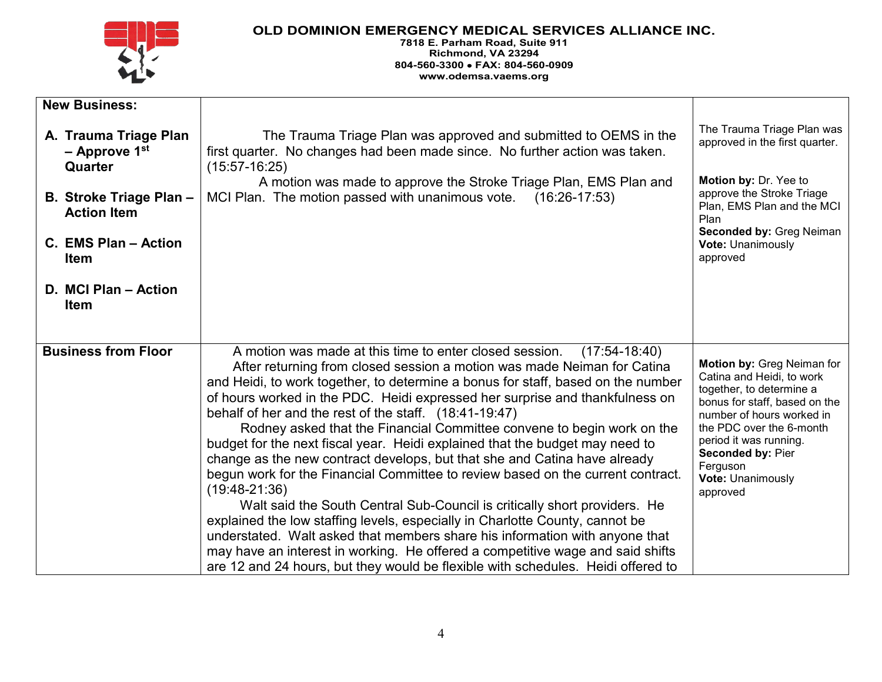

| <b>New Business:</b>                                                                 |                                                                                                                                                                                                                                                                                                                                                                                                                                                                                                                                                                                                                                                                                                                                                                                                                                                                                                                                                                                                                                                                                                                                                    |                                                                                                                                                                                                                                                                                         |
|--------------------------------------------------------------------------------------|----------------------------------------------------------------------------------------------------------------------------------------------------------------------------------------------------------------------------------------------------------------------------------------------------------------------------------------------------------------------------------------------------------------------------------------------------------------------------------------------------------------------------------------------------------------------------------------------------------------------------------------------------------------------------------------------------------------------------------------------------------------------------------------------------------------------------------------------------------------------------------------------------------------------------------------------------------------------------------------------------------------------------------------------------------------------------------------------------------------------------------------------------|-----------------------------------------------------------------------------------------------------------------------------------------------------------------------------------------------------------------------------------------------------------------------------------------|
| A. Trauma Triage Plan<br>$-$ Approve 1st<br>Quarter                                  | The Trauma Triage Plan was approved and submitted to OEMS in the<br>first quarter. No changes had been made since. No further action was taken.<br>$(15:57-16:25)$<br>A motion was made to approve the Stroke Triage Plan, EMS Plan and                                                                                                                                                                                                                                                                                                                                                                                                                                                                                                                                                                                                                                                                                                                                                                                                                                                                                                            | The Trauma Triage Plan was<br>approved in the first quarter.<br>Motion by: Dr. Yee to                                                                                                                                                                                                   |
| B. Stroke Triage Plan -<br><b>Action Item</b><br>C. EMS Plan - Action<br><b>Item</b> | MCI Plan. The motion passed with unanimous vote.<br>$(16:26-17:53)$                                                                                                                                                                                                                                                                                                                                                                                                                                                                                                                                                                                                                                                                                                                                                                                                                                                                                                                                                                                                                                                                                | approve the Stroke Triage<br>Plan, EMS Plan and the MCI<br>Plan<br><b>Seconded by: Greg Neiman</b><br><b>Vote: Unanimously</b><br>approved                                                                                                                                              |
| D. MCI Plan - Action<br><b>Item</b>                                                  |                                                                                                                                                                                                                                                                                                                                                                                                                                                                                                                                                                                                                                                                                                                                                                                                                                                                                                                                                                                                                                                                                                                                                    |                                                                                                                                                                                                                                                                                         |
| <b>Business from Floor</b>                                                           | A motion was made at this time to enter closed session.<br>$(17:54-18:40)$<br>After returning from closed session a motion was made Neiman for Catina<br>and Heidi, to work together, to determine a bonus for staff, based on the number<br>of hours worked in the PDC. Heidi expressed her surprise and thankfulness on<br>behalf of her and the rest of the staff. (18:41-19:47)<br>Rodney asked that the Financial Committee convene to begin work on the<br>budget for the next fiscal year. Heidi explained that the budget may need to<br>change as the new contract develops, but that she and Catina have already<br>begun work for the Financial Committee to review based on the current contract.<br>$(19:48-21:36)$<br>Walt said the South Central Sub-Council is critically short providers. He<br>explained the low staffing levels, especially in Charlotte County, cannot be<br>understated. Walt asked that members share his information with anyone that<br>may have an interest in working. He offered a competitive wage and said shifts<br>are 12 and 24 hours, but they would be flexible with schedules. Heidi offered to | Motion by: Greg Neiman for<br>Catina and Heidi, to work<br>together, to determine a<br>bonus for staff, based on the<br>number of hours worked in<br>the PDC over the 6-month<br>period it was running.<br><b>Seconded by: Pier</b><br>Ferguson<br><b>Vote: Unanimously</b><br>approved |